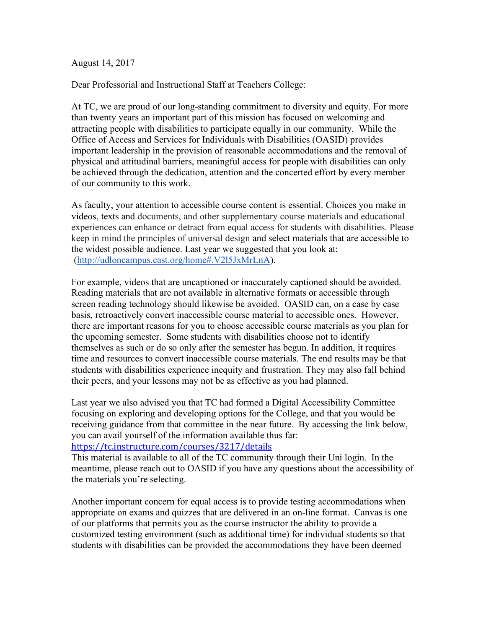August 14, 2017

Dear Professorial and Instructional Staff at Teachers College:

At TC, we are proud of our long-standing commitment to diversity and equity. For more than twenty years an important part of this mission has focused on welcoming and attracting people with disabilities to participate equally in our community. While the Office of Access and Services for Individuals with Disabilities (OASID) provides important leadership in the provision of reasonable accommodations and the removal of physical and attitudinal barriers, meaningful access for people with disabilities can only be achieved through the dedication, attention and the concerted effort by every member of our community to this work.

As faculty, your attention to accessible course content is essential. Choices you make in videos, texts and documents, and other supplementary course materials and educational experiences can enhance or detract from equal access for students with disabilities. Please keep in mind the principles of universal design and select materials that are accessible to the widest possible audience. Last year we suggested that you look at: (http://udloncampus.cast.org/home#.V2l5JxMrLnA).

For example, videos that are uncaptioned or inaccurately captioned should be avoided. Reading materials that are not available in alternative formats or accessible through screen reading technology should likewise be avoided. OASID can, on a case by case basis, retroactively convert inaccessible course material to accessible ones. However, there are important reasons for you to choose accessible course materials as you plan for the upcoming semester. Some students with disabilities choose not to identify themselves as such or do so only after the semester has begun. In addition, it requires time and resources to convert inaccessible course materials. The end results may be that students with disabilities experience inequity and frustration. They may also fall behind their peers, and your lessons may not be as effective as you had planned.

Last year we also advised you that TC had formed a Digital Accessibility Committee focusing on exploring and developing options for the College, and that you would be receiving guidance from that committee in the near future. By accessing the link below, you can avail yourself of the information available thus far:

https://tc.instructure.com/courses/3217/details

This material is available to all of the TC community through their Uni login. In the meantime, please reach out to OASID if you have any questions about the accessibility of the materials you're selecting.

Another important concern for equal access is to provide testing accommodations when appropriate on exams and quizzes that are delivered in an on-line format. Canvas is one of our platforms that permits you as the course instructor the ability to provide a customized testing environment (such as additional time) for individual students so that students with disabilities can be provided the accommodations they have been deemed